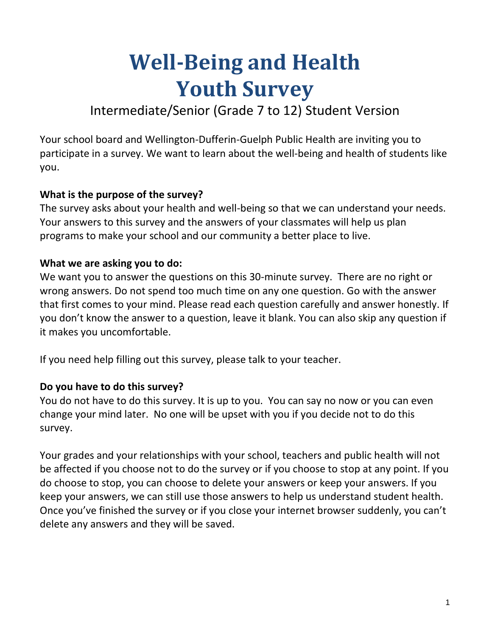# **Well-Being and Health Youth Survey**

# Intermediate/Senior (Grade 7 to 12) Student Version

Your school board and Wellington-Dufferin-Guelph Public Health are inviting you to participate in a survey. We want to learn about the well-being and health of students like you.

# **What is the purpose of the survey?**

The survey asks about your health and well-being so that we can understand your needs. Your answers to this survey and the answers of your classmates will help us plan programs to make your school and our community a better place to live.

### **What we are asking you to do:**

We want you to answer the questions on this 30-minute survey. There are no right or wrong answers. Do not spend too much time on any one question. Go with the answer that first comes to your mind. Please read each question carefully and answer honestly. If you don't know the answer to a question, leave it blank. You can also skip any question if it makes you uncomfortable.

If you need help filling out this survey, please talk to your teacher.

## **Do you have to do this survey?**

You do not have to do this survey. It is up to you. You can say no now or you can even change your mind later. No one will be upset with you if you decide not to do this survey.

Your grades and your relationships with your school, teachers and public health will not be affected if you choose not to do the survey or if you choose to stop at any point. If you do choose to stop, you can choose to delete your answers or keep your answers. If you keep your answers, we can still use those answers to help us understand student health. Once you've finished the survey or if you close your internet browser suddenly, you can't delete any answers and they will be saved.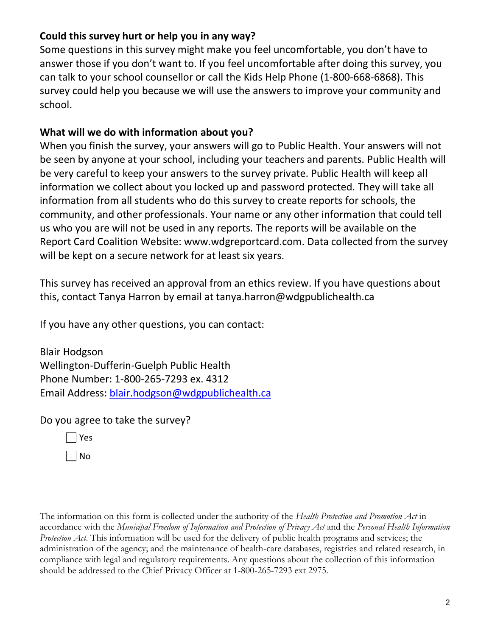# **Could this survey hurt or help you in any way?**

Some questions in this survey might make you feel uncomfortable, you don't have to answer those if you don't want to. If you feel uncomfortable after doing this survey, you can talk to your school counsellor or call the Kids Help Phone (1-800-668-6868). This survey could help you because we will use the answers to improve your community and school.

## **What will we do with information about you?**

When you finish the survey, your answers will go to Public Health. Your answers will not be seen by anyone at your school, including your teachers and parents. Public Health will be very careful to keep your answers to the survey private. Public Health will keep all information we collect about you locked up and password protected. They will take all information from all students who do this survey to create reports for schools, the community, and other professionals. Your name or any other information that could tell us who you are will not be used in any reports. The reports will be available on the Report Card Coalition Website: www.wdgreportcard.com. Data collected from the survey will be kept on a secure network for at least six years.

This survey has received an approval from an ethics review. If you have questions about this, contact Tanya Harron by email at tanya.harron@wdgpublichealth.ca

If you have any other questions, you can contact:

Blair Hodgson Wellington-Dufferin-Guelph Public Health Phone Number: 1-800-265-7293 ex. 4312 Email Address: [blair.hodgson@wdgpublichealth.ca](mailto:blair.hodgson@wdgpublichealth.ca)

Do you agree to take the survey?

| I | Yes |
|---|-----|
| I | N٥  |

The information on this form is collected under the authority of the *Health Protection and Promotion Act* in accordance with the *Municipal Freedom of Information and Protection of Privacy Act* and the *Personal Health Information Protection Act*. This information will be used for the delivery of public health programs and services; the administration of the agency; and the maintenance of health-care databases, registries and related research, in compliance with legal and regulatory requirements. Any questions about the collection of this information should be addressed to the Chief Privacy Officer at 1-800-265-7293 ext 2975.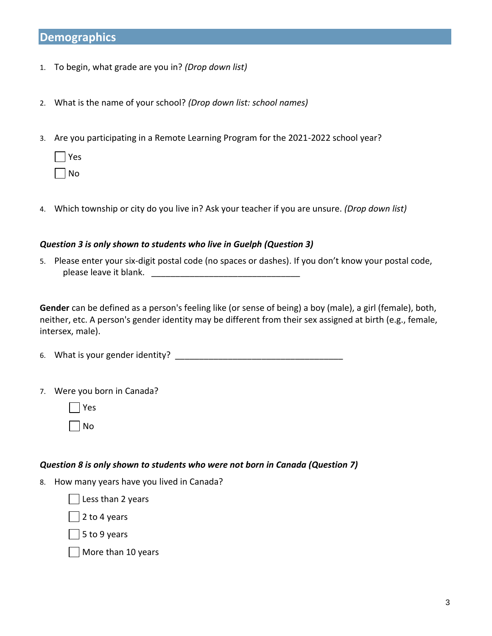## **Demographics**

- 1. To begin, what grade are you in? *(Drop down list)*
- 2. What is the name of your school? *(Drop down list: school names)*
- 3. Are you participating in a Remote Learning Program for the 2021-2022 school year?
	- Yes
	- No
- 4. Which township or city do you live in? Ask your teacher if you are unsure. *(Drop down list)*

#### *Question 3 is only shown to students who live in Guelph (Question 3)*

5. Please enter your six-digit postal code (no spaces or dashes). If you don't know your postal code, please leave it blank.

**Gender** can be defined as a person's feeling like (or sense of being) a boy (male), a girl (female), both, neither, etc. A person's gender identity may be different from their sex assigned at birth (e.g., female, intersex, male).

6. What is your gender identity?

7. Were you born in Canada?



#### *Question 8 is only shown to students who were not born in Canada (Question 7)*

8. How many years have you lived in Canada?

| Less than 2 years

2 to 4 years

 $\vert$  5 to 9 years

More than 10 years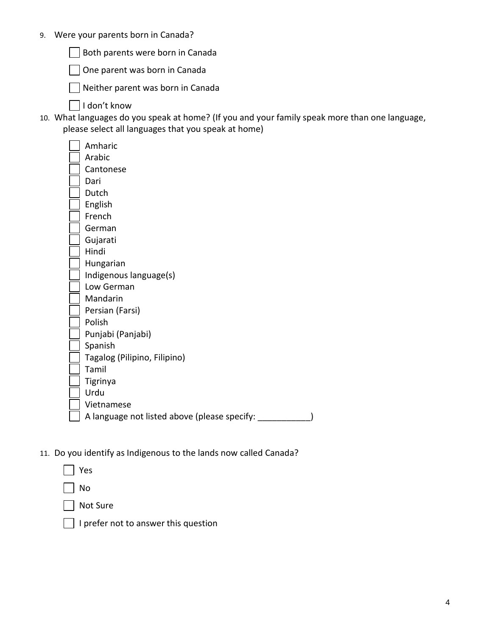9. Were your parents born in Canada?

Both parents were born in Canada

One parent was born in Canada

Neither parent was born in Canada  $\overline{\phantom{a}}$ 

- I don't know
- 10. What languages do you speak at home? (If you and your family speak more than one language, please select all languages that you speak at home)

|  | Amharic                                      |
|--|----------------------------------------------|
|  | Arabic                                       |
|  | Cantonese                                    |
|  | Dari                                         |
|  | Dutch                                        |
|  | English                                      |
|  | French                                       |
|  | German                                       |
|  | Gujarati                                     |
|  | Hindi                                        |
|  | Hungarian                                    |
|  | Indigenous language(s)                       |
|  | Low German                                   |
|  | Mandarin                                     |
|  | Persian (Farsi)                              |
|  | Polish                                       |
|  | Punjabi (Panjabi)                            |
|  | Spanish                                      |
|  | Tagalog (Pilipino, Filipino)                 |
|  | Tamil                                        |
|  | Tigrinya                                     |
|  | Urdu                                         |
|  | Vietnamese                                   |
|  | A language not listed above (please specify: |
|  |                                              |

11. Do you identify as Indigenous to the lands now called Canada?

| Yes             |
|-----------------|
| No              |
| <b>Not Sure</b> |
|                 |

 $\Box$  I prefer not to answer this question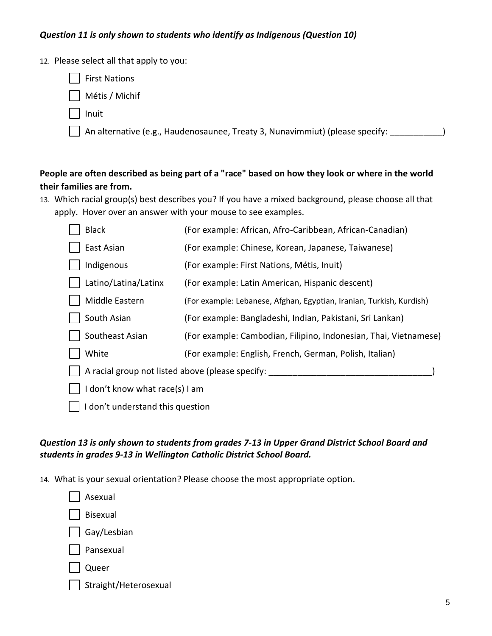#### *Question 11 is only shown to students who identify as Indigenous (Question 10)*

- 12. Please select all that apply to you:
	- First Nations
	- Métis / Michif
	- Inuit
	- An alternative (e.g., Haudenosaunee, Treaty 3, Nunavimmiut) (please specify: \_\_\_\_\_\_\_\_\_\_\_)

#### **People are often described as being part of a "race" based on how they look or where in the world their families are from.**

13. Which racial group(s) best describes you? If you have a mixed background, please choose all that apply. Hover over an answer with your mouse to see examples.

| <b>Black</b>                                     | (For example: African, Afro-Caribbean, African-Canadian)             |  |  |  |  |
|--------------------------------------------------|----------------------------------------------------------------------|--|--|--|--|
| East Asian                                       | (For example: Chinese, Korean, Japanese, Taiwanese)                  |  |  |  |  |
| Indigenous                                       | (For example: First Nations, Métis, Inuit)                           |  |  |  |  |
| Latino/Latina/Latinx                             | (For example: Latin American, Hispanic descent)                      |  |  |  |  |
| Middle Eastern                                   | (For example: Lebanese, Afghan, Egyptian, Iranian, Turkish, Kurdish) |  |  |  |  |
| South Asian                                      | (For example: Bangladeshi, Indian, Pakistani, Sri Lankan)            |  |  |  |  |
| Southeast Asian                                  | (For example: Cambodian, Filipino, Indonesian, Thai, Vietnamese)     |  |  |  |  |
| White                                            | (For example: English, French, German, Polish, Italian)              |  |  |  |  |
| A racial group not listed above (please specify: |                                                                      |  |  |  |  |
| I don't know what race(s) I am                   |                                                                      |  |  |  |  |
| don't understand this question                   |                                                                      |  |  |  |  |

#### *Question 13 is only shown to students from grades 7-13 in Upper Grand District School Board and students in grades 9-13 in Wellington Catholic District School Board.*

14. What is your sexual orientation? Please choose the most appropriate option.

 Asexual Bisexual Gay/Lesbian Pansexual

| .)ueer |
|--------|
|        |

Straight/Heterosexual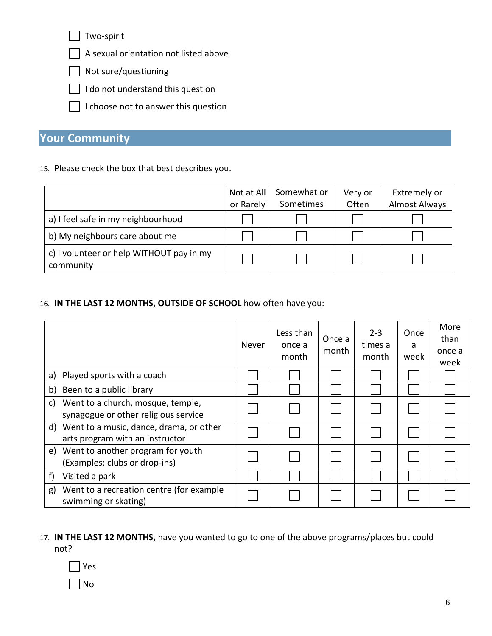Two-spirit

A sexual orientation not listed above

Not sure/questioning

 $\Box$  I do not understand this question

I choose not to answer this question

# **Your Community**

15. Please check the box that best describes you.

|                                                       | Not at All<br>or Rarely | Somewhat or<br>Sometimes | Very or<br>Often | Extremely or<br><b>Almost Always</b> |
|-------------------------------------------------------|-------------------------|--------------------------|------------------|--------------------------------------|
|                                                       |                         |                          |                  |                                      |
| a) I feel safe in my neighbourhood                    |                         |                          |                  |                                      |
| b) My neighbours care about me                        |                         |                          |                  |                                      |
| c) I volunteer or help WITHOUT pay in my<br>community |                         |                          |                  |                                      |

#### 16. **IN THE LAST 12 MONTHS, OUTSIDE OF SCHOOL** how often have you:

|                                                                                  | Never | Less than<br>once a<br>month | Once a<br>month | $2 - 3$<br>times a<br>month | Once<br>a<br>week | More<br>than<br>once a<br>week |
|----------------------------------------------------------------------------------|-------|------------------------------|-----------------|-----------------------------|-------------------|--------------------------------|
| Played sports with a coach<br>a)                                                 |       |                              |                 |                             |                   |                                |
| Been to a public library<br>b)                                                   |       |                              |                 |                             |                   |                                |
| Went to a church, mosque, temple,<br>C)<br>synagogue or other religious service  |       |                              |                 |                             |                   |                                |
| Went to a music, dance, drama, or other<br>d)<br>arts program with an instructor |       |                              |                 |                             |                   |                                |
| e) Went to another program for youth<br>(Examples: clubs or drop-ins)            |       |                              |                 |                             |                   |                                |
| Visited a park<br>f)                                                             |       |                              |                 |                             |                   |                                |
| Went to a recreation centre (for example<br>g)<br>swimming or skating)           |       |                              |                 |                             |                   |                                |

#### 17. **IN THE LAST 12 MONTHS,** have you wanted to go to one of the above programs/places but could not?



No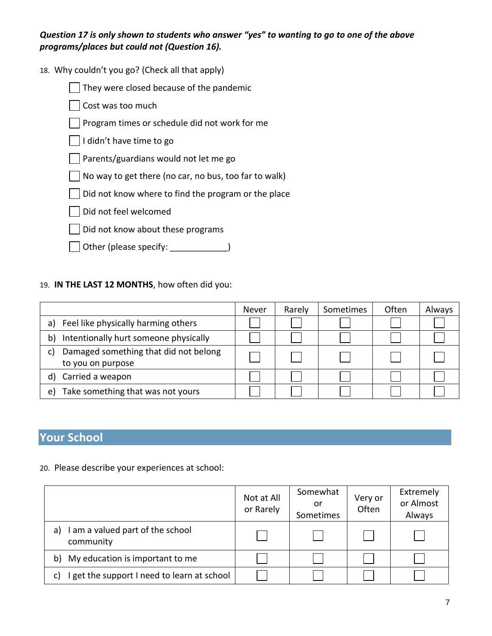*Question 17 is only shown to students who answer "yes" to wanting to go to one of the above programs/places but could not (Question 16).*

18. Why couldn't you go? (Check all that apply)

They were closed because of the pandemic  $\overline{\phantom{a}}$ 

Cost was too much

Program times or schedule did not work for me

 $\Box$  I didn't have time to go

Parents/guardians would not let me go

 $\vert$  No way to get there (no car, no bus, too far to walk)

 $\Box$  Did not know where to find the program or the place

Did not feel welcomed

Did not know about these programs  $\mathbf{I}$ 

 $\Box$  Other (please specify: \_\_\_\_\_\_\_\_\_\_\_\_\_)

#### 19. **IN THE LAST 12 MONTHS**, how often did you:

|                                             | Never | Rarely | Sometimes | Often | Always |
|---------------------------------------------|-------|--------|-----------|-------|--------|
| Feel like physically harming others<br>a)   |       |        |           |       |        |
| Intentionally hurt someone physically<br>b) |       |        |           |       |        |
| Damaged something that did not belong<br>C) |       |        |           |       |        |
| to you on purpose                           |       |        |           |       |        |
| Carried a weapon<br>d)                      |       |        |           |       |        |
| Take something that was not yours<br>e)     |       |        |           |       |        |

# **Your School**

#### 20. Please describe your experiences at school:

|                                                     | Not at All<br>or Rarely | Somewhat<br>or<br>Sometimes | Very or<br>Often | Extremely<br>or Almost<br>Always |
|-----------------------------------------------------|-------------------------|-----------------------------|------------------|----------------------------------|
| I am a valued part of the school<br>a)<br>community |                         |                             |                  |                                  |
| My education is important to me<br>b)               |                         |                             |                  |                                  |
| I get the support I need to learn at school<br>C)   |                         |                             |                  |                                  |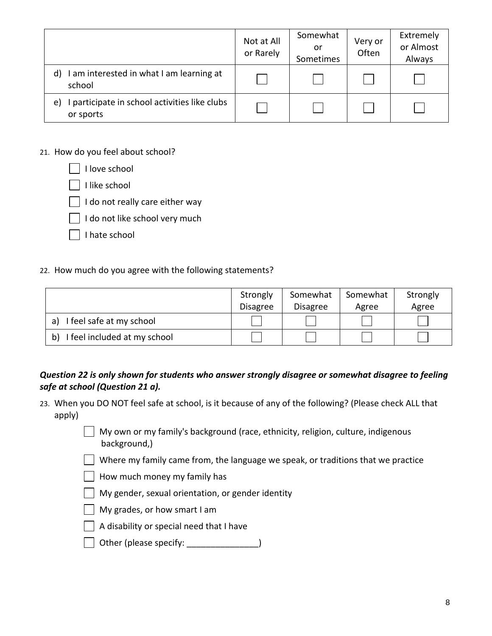|                                                                  | Not at All<br>or Rarely | Somewhat<br>or<br>Sometimes | Very or<br>Often | Extremely<br>or Almost<br>Always |
|------------------------------------------------------------------|-------------------------|-----------------------------|------------------|----------------------------------|
| I am interested in what I am learning at<br>d)<br>school         |                         |                             |                  |                                  |
| I participate in school activities like clubs<br>e)<br>or sports |                         |                             |                  |                                  |

#### 21. How do you feel about school?

| I love school                   |
|---------------------------------|
| I like school                   |
| I do not really care either way |
| I do not like school very much  |
| I hate school                   |
|                                 |

#### 22. How much do you agree with the following statements?

|                                    | Strongly<br><b>Disagree</b> | Somewhat<br><b>Disagree</b> | Somewhat<br>Agree | Strongly<br>Agree |
|------------------------------------|-----------------------------|-----------------------------|-------------------|-------------------|
| I feel safe at my school<br>a)     |                             |                             |                   |                   |
| I feel included at my school<br>b) |                             |                             |                   |                   |

#### *Question 22 is only shown for students who answer strongly disagree or somewhat disagree to feeling safe at school (Question 21 a).*

23. When you DO NOT feel safe at school, is it because of any of the following? (Please check ALL that apply)

> $\Box$  My own or my family's background (race, ethnicity, religion, culture, indigenous background,)

 $\Box$  Where my family came from, the language we speak, or traditions that we practice

- How much money my family has
- My gender, sexual orientation, or gender identity
- My grades, or how smart I am
- $\Box$  A disability or special need that I have
- Other (please specify: \_\_\_\_\_\_\_\_\_\_\_\_\_\_\_)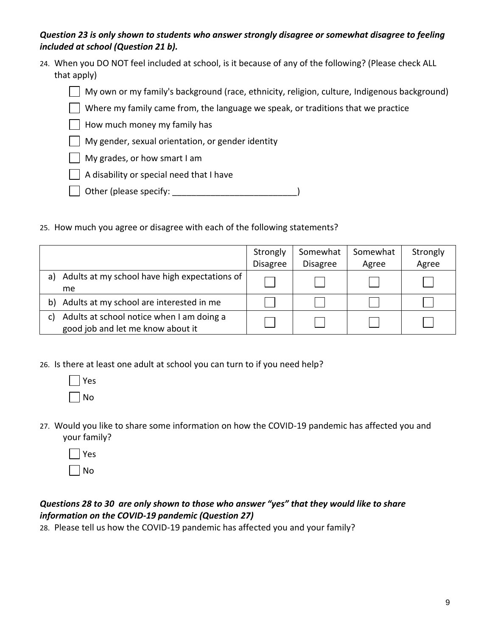#### *Question 23 is only shown to students who answer strongly disagree or somewhat disagree to feeling included at school (Question 21 b).*

24. When you DO NOT feel included at school, is it because of any of the following? (Please check ALL that apply)

My own or my family's background (race, ethnicity, religion, culture, Indigenous background)

Where my family came from, the language we speak, or traditions that we practice

 $\Box$  How much money my family has

- My gender, sexual orientation, or gender identity
- My grades, or how smart I am
- A disability or special need that I have
- Other (please specify: \_\_\_\_\_\_\_\_\_\_\_\_\_\_\_\_\_\_\_\_\_\_\_\_\_\_\_\_\_\_\_\_\_)
- 25. How much you agree or disagree with each of the following statements?

|    |                                                                                | Strongly        | Somewhat        | Somewhat | Strongly |
|----|--------------------------------------------------------------------------------|-----------------|-----------------|----------|----------|
|    |                                                                                | <b>Disagree</b> | <b>Disagree</b> | Agree    | Agree    |
| a) | Adults at my school have high expectations of<br><sub>me</sub>                 |                 |                 |          |          |
| b) | Adults at my school are interested in me                                       |                 |                 |          |          |
| C) | Adults at school notice when I am doing a<br>good job and let me know about it |                 |                 |          |          |

26. Is there at least one adult at school you can turn to if you need help?



27. Would you like to share some information on how the COVID-19 pandemic has affected you and your family?



#### *Questions 28 to 30 are only shown to those who answer "yes" that they would like to share information on the COVID-19 pandemic (Question 27)*

28. Please tell us how the COVID-19 pandemic has affected you and your family?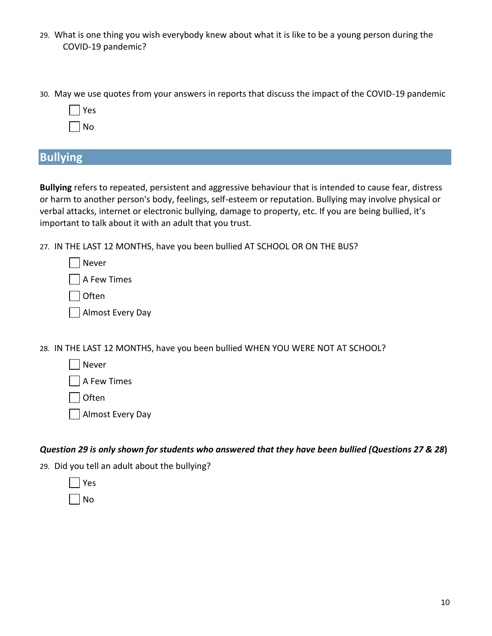- 29. What is one thing you wish everybody knew about what it is like to be a young person during the COVID-19 pandemic?
- 30. May we use quotes from your answers in reports that discuss the impact of the COVID-19 pandemic

| Y<br>es |
|---------|
| ⇃<br>C  |

### **Bullying**

**Bullying** refers to repeated, persistent and aggressive behaviour that is intended to cause fear, distress or harm to another person's body, feelings, self-esteem or reputation. Bullying may involve physical or verbal attacks, internet or electronic bullying, damage to property, etc. If you are being bullied, it's important to talk about it with an adult that you trust.

27. IN THE LAST 12 MONTHS, have you been bullied AT SCHOOL OR ON THE BUS?

| $\Box$ Never     |  |
|------------------|--|
| A Few Times      |  |
| │  Often         |  |
| Almost Every Day |  |

28. IN THE LAST 12 MONTHS, have you been bullied WHEN YOU WERE NOT AT SCHOOL?

| Never |
|-------|
|       |

A Few Times

**Often** 

Almost Every Day

*Question 29 is only shown for students who answered that they have been bullied (Questions 27 & 28***)**

29. Did you tell an adult about the bullying?



No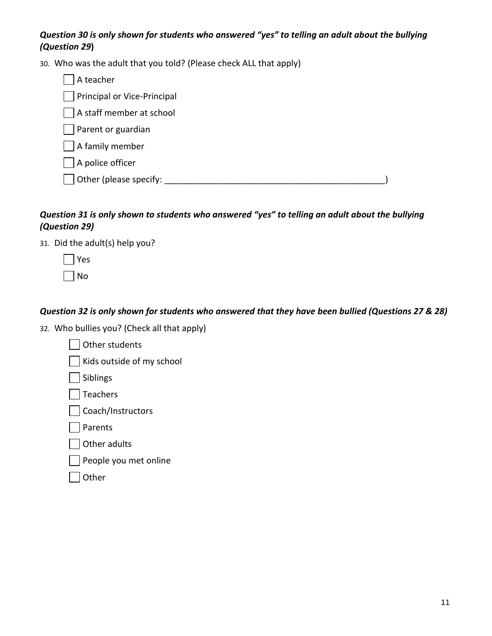#### *Question 30 is only shown for students who answered "yes" to telling an adult about the bullying (Question 29***)**

30. Who was the adult that you told? (Please check ALL that apply)

| A teacher                   |  |
|-----------------------------|--|
| Principal or Vice-Principal |  |
| A staff member at school    |  |
| Parent or guardian          |  |
| A family member             |  |
| A police officer            |  |
| Other (please specify:      |  |
|                             |  |

#### *Question 31 is only shown to students who answered "yes" to telling an adult about the bullying (Question 29)*

31. Did the adult(s) help you?

Yes No

#### *Question 32 is only shown for students who answered that they have been bullied (Questions 27 & 28)*

32. Who bullies you? (Check all that apply)

| Other students            |  |
|---------------------------|--|
| Kids outside of my school |  |
| Siblings                  |  |
| Teachers                  |  |
| Coach/Instructors         |  |
| Parents                   |  |
| Other adults              |  |
| People you met online     |  |
| ther                      |  |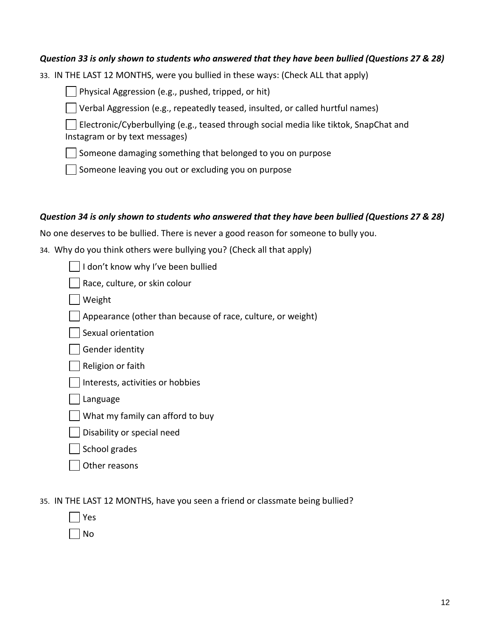#### *Question 33 is only shown to students who answered that they have been bullied (Questions 27 & 28)*

33. IN THE LAST 12 MONTHS, were you bullied in these ways: (Check ALL that apply)

**Physical Aggression (e.g., pushed, tripped, or hit)** 

Verbal Aggression (e.g., repeatedly teased, insulted, or called hurtful names)

Electronic/Cyberbullying (e.g., teased through social media like tiktok, SnapChat and Instagram or by text messages)

 $\Box$  Someone damaging something that belonged to you on purpose

 $\vert \ \vert$  Someone leaving you out or excluding you on purpose

#### *Question 34 is only shown to students who answered that they have been bullied (Questions 27 & 28)*

No one deserves to be bullied. There is never a good reason for someone to bully you.

34. Why do you think others were bullying you? (Check all that apply)

I don't know why I've been bullied

Race, culture, or skin colour

Weight

Appearance (other than because of race, culture, or weight)

Sexual orientation

Gender identity

Religion or faith

Interests, activities or hobbies

Language

What my family can afford to buy

Disability or special need

School grades

Other reasons

35. IN THE LAST 12 MONTHS, have you seen a friend or classmate being bullied?

| S<br>Y<br>ρ |
|-------------|
| N<br>n      |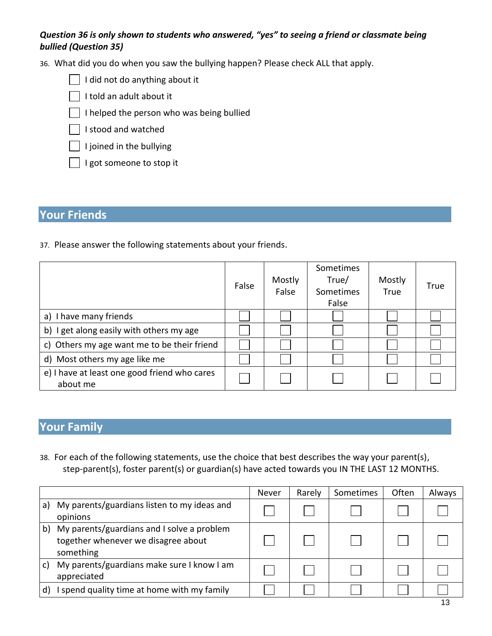#### *Question 36 is only shown to students who answered, "yes" to seeing a friend or classmate being bullied (Question 35)*

36. What did you do when you saw the bullying happen? Please check ALL that apply.

| $\Box$ I did not do anything about it |  |
|---------------------------------------|--|
|---------------------------------------|--|

I told an adult about it

- I helped the person who was being bullied
- I stood and watched
- $\overline{\phantom{a}}$  I joined in the bullying
- I got someone to stop it

# **Your Friends**

37. Please answer the following statements about your friends.

|                                                          | False | Mostly<br>False | Sometimes<br>True/<br>Sometimes<br>False | Mostly<br>True | True |
|----------------------------------------------------------|-------|-----------------|------------------------------------------|----------------|------|
| a) I have many friends                                   |       |                 |                                          |                |      |
| b) I get along easily with others my age                 |       |                 |                                          |                |      |
| c) Others my age want me to be their friend              |       |                 |                                          |                |      |
| d) Most others my age like me                            |       |                 |                                          |                |      |
| e) I have at least one good friend who cares<br>about me |       |                 |                                          |                |      |

# **Your Family**

38. For each of the following statements, use the choice that best describes the way your parent(s), step-parent(s), foster parent(s) or guardian(s) have acted towards you IN THE LAST 12 MONTHS.

|              |                                                                                                | Never | Rarely | Sometimes | Often | Always |
|--------------|------------------------------------------------------------------------------------------------|-------|--------|-----------|-------|--------|
| a)           | My parents/guardians listen to my ideas and<br>opinions                                        |       |        |           |       |        |
| b)           | My parents/guardians and I solve a problem<br>together whenever we disagree about<br>something |       |        |           |       |        |
| C)           | My parents/guardians make sure I know I am<br>appreciated                                      |       |        |           |       |        |
| $\mathsf{d}$ | spend quality time at home with my family                                                      |       |        |           |       |        |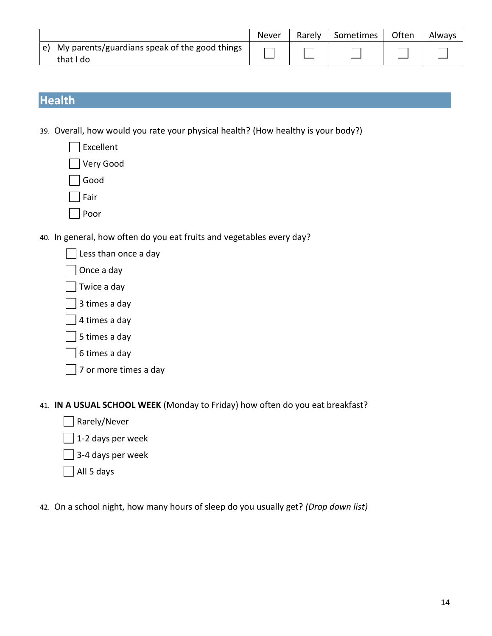|                                                                       | Never | Rarely | Sometimes | Often | Always |
|-----------------------------------------------------------------------|-------|--------|-----------|-------|--------|
| $\vert$ e) My parents/guardians speak of the good things<br>that I do |       |        |           |       |        |

# **Health**

- 39. Overall, how would you rate your physical health? (How healthy is your body?)
	- Excellent  $\overline{\phantom{a}}$
	- Very Good
	- Good
	- Fair
	- Poor
- 40. In general, how often do you eat fruits and vegetables every day?
	- Less than once a day
	- Once a day
	- Twice a day
	- 3 times a day
	- 4 times a day
	- 5 times a day
	- 6 times a day
	- 7 or more times a day
- 41. **IN A USUAL SCHOOL WEEK** (Monday to Friday) how often do you eat breakfast?
	- Rarely/Never
	- 1-2 days per week
	- 3-4 days per week
	- All 5 days
- 42. On a school night, how many hours of sleep do you usually get? *(Drop down list)*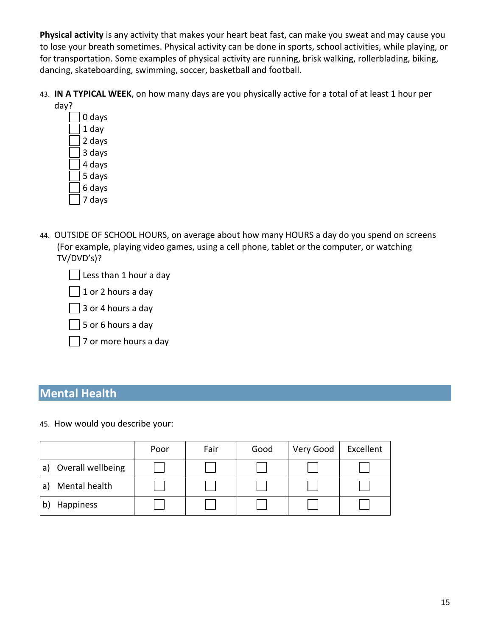**Physical activity** is any activity that makes your heart beat fast, can make you sweat and may cause you to lose your breath sometimes. Physical activity can be done in sports, school activities, while playing, or for transportation. Some examples of physical activity are running, brisk walking, rollerblading, biking, dancing, skateboarding, swimming, soccer, basketball and football.

43. **IN A TYPICAL WEEK**, on how many days are you physically active for a total of at least 1 hour per day?

0 days 1 day 2 days 3 days 4 days 5 days 6 days 7 days

- 44. OUTSIDE OF SCHOOL HOURS, on average about how many HOURS a day do you spend on screens (For example, playing video games, using a cell phone, tablet or the computer, or watching TV/DVD's)?
	- Less than 1 hour a day
	- 1 or 2 hours a day
	- 3 or 4 hours a day
	- 5 or 6 hours a day
	- 7 or more hours a day

# **Mental Health**

45. How would you describe your:

|                         | Poor | Fair | Good | Very Good | Excellent |
|-------------------------|------|------|------|-----------|-----------|
| Overall wellbeing<br>a' |      |      |      |           |           |
| Mental health<br>a      |      |      |      |           |           |
| Happiness               |      |      |      |           |           |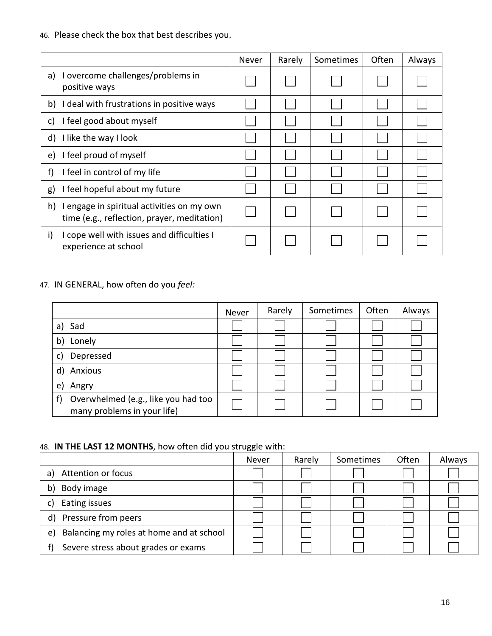46. Please check the box that best describes you.

|                                                                                                 | <b>Never</b> | Rarely | Sometimes | Often | Always |
|-------------------------------------------------------------------------------------------------|--------------|--------|-----------|-------|--------|
| I overcome challenges/problems in<br>a)<br>positive ways                                        |              |        |           |       |        |
| I deal with frustrations in positive ways<br>b)                                                 |              |        |           |       |        |
| I feel good about myself<br>C)                                                                  |              |        |           |       |        |
| I like the way I look<br>d)                                                                     |              |        |           |       |        |
| I feel proud of myself<br>e)                                                                    |              |        |           |       |        |
| I feel in control of my life<br>f)                                                              |              |        |           |       |        |
| I feel hopeful about my future<br>g)                                                            |              |        |           |       |        |
| h)<br>I engage in spiritual activities on my own<br>time (e.g., reflection, prayer, meditation) |              |        |           |       |        |
| I cope well with issues and difficulties I<br>i)<br>experience at school                        |              |        |           |       |        |

# 47. IN GENERAL, how often do you *feel:*

|                                                                          | Never | Rarely | Sometimes | Often | Always |
|--------------------------------------------------------------------------|-------|--------|-----------|-------|--------|
| Sad<br>a)                                                                |       |        |           |       |        |
| Lonely<br>b)                                                             |       |        |           |       |        |
| Depressed                                                                |       |        |           |       |        |
| Anxious<br>d)                                                            |       |        |           |       |        |
| Angry<br>e)                                                              |       |        |           |       |        |
| Overwhelmed (e.g., like you had too<br>f)<br>many problems in your life) |       |        |           |       |        |

# 48. **IN THE LAST 12 MONTHS**, how often did you struggle with:

|                                                | Never | Rarely | Sometimes | Often | Always |
|------------------------------------------------|-------|--------|-----------|-------|--------|
| Attention or focus<br>a)                       |       |        |           |       |        |
| Body image<br>b)                               |       |        |           |       |        |
| Eating issues                                  |       |        |           |       |        |
| Pressure from peers<br>$\mathsf{d}$            |       |        |           |       |        |
| Balancing my roles at home and at school<br>e) |       |        |           |       |        |
| Severe stress about grades or exams            |       |        |           |       |        |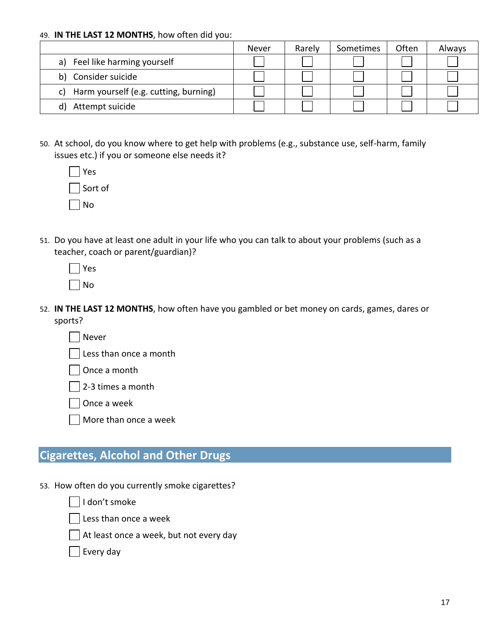#### 49. **IN THE LAST 12 MONTHS**, how often did you:

|                                          | Never | Rarely | Sometimes | Often | Always |
|------------------------------------------|-------|--------|-----------|-------|--------|
| a) Feel like harming yourself            |       |        |           |       |        |
| Consider suicide<br>b)                   |       |        |           |       |        |
| c) Harm yourself (e.g. cutting, burning) |       |        |           |       |        |
| Attempt suicide<br>d)                    |       |        |           |       |        |

50. At school, do you know where to get help with problems (e.g., substance use, self-harm, family issues etc.) if you or someone else needs it?

| Yes     |
|---------|
| Sort of |
| $ $ No  |

51. Do you have at least one adult in your life who you can talk to about your problems (such as a teacher, coach or parent/guardian)?

| Y<br>S<br>e |
|-------------|
| n           |

- 52. **IN THE LAST 12 MONTHS**, how often have you gambled or bet money on cards, games, dares or sports?
	- Never
	- Less than once a month
	- Once a month

2-3 times a month

Once a week

More than once a week

# **Cigarettes, Alcohol and Other Drugs**

53. How often do you currently smoke cigarettes?

I don't smoke

Less than once a week

At least once a week, but not every day

Every day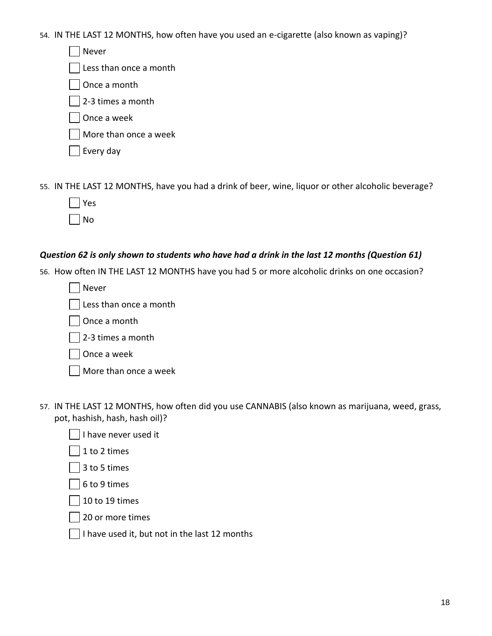54. IN THE LAST 12 MONTHS, how often have you used an e-cigarette (also known as vaping)?

Never

Less than once a month

Once a month

2-3 times a month

Once a week

More than once a week

Every day

55. IN THE LAST 12 MONTHS, have you had a drink of beer, wine, liquor or other alcoholic beverage?

| s<br>Р |
|--------|
| √<br>n |

# *Question 62 is only shown to students who have had a drink in the last 12 months (Question 61)*

56. How often IN THE LAST 12 MONTHS have you had 5 or more alcoholic drinks on one occasion?

Never

Less than once a month

Once a month

2-3 times a month

Once a week

| $\Box$ More than once a week |  |
|------------------------------|--|
|------------------------------|--|

- 57. IN THE LAST 12 MONTHS, how often did you use CANNABIS (also known as marijuana, weed, grass, pot, hashish, hash, hash oil)?
	- I have never used it
	- 1 to 2 times
	- 3 to 5 times

6 to 9 times

10 to 19 times

 $\blacksquare$ 20 or more times

 $\vert \ \vert$  I have used it, but not in the last 12 months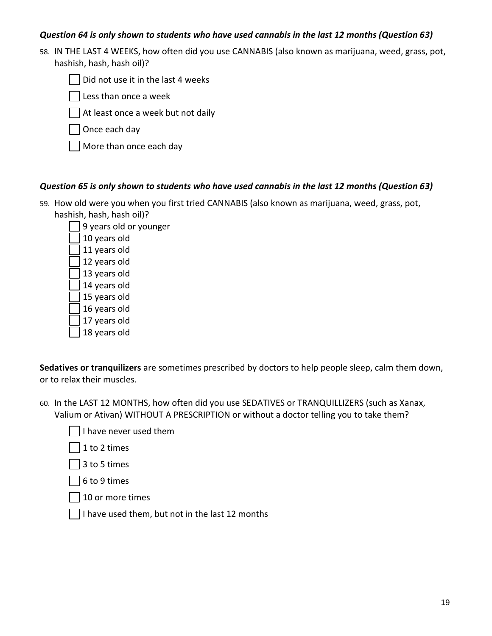#### *Question 64 is only shown to students who have used cannabis in the last 12 months (Question 63)*

58. IN THE LAST 4 WEEKS, how often did you use CANNABIS (also known as marijuana, weed, grass, pot, hashish, hash, hash oil)?

Did not use it in the last 4 weeks  $\blacksquare$ 

Less than once a week

At least once a week but not daily

Once each day

More than once each day

#### *Question 65 is only shown to students who have used cannabis in the last 12 months (Question 63)*

59. How old were you when you first tried CANNABIS (also known as marijuana, weed, grass, pot, hashish, hash, hash oil)?

9 years old or younger 10 years old 11 years old 12 years old 13 years old 14 years old 15 years old 16 years old 17 years old 18 years old

**Sedatives or tranquilizers** are sometimes prescribed by doctors to help people sleep, calm them down, or to relax their muscles.

- 60. In the LAST 12 MONTHS, how often did you use SEDATIVES or TRANQUILLIZERS (such as Xanax, Valium or Ativan) WITHOUT A PRESCRIPTION or without a doctor telling you to take them?
	- I have never used them

1 to 2 times

3 to 5 times

6 to 9 times

10 or more times

I have used them, but not in the last 12 months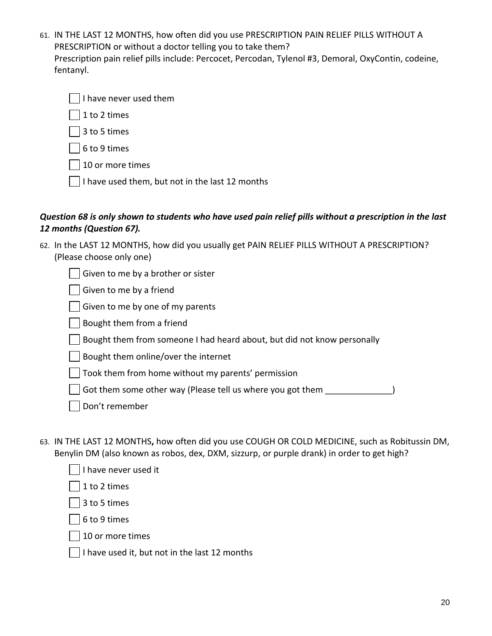61. IN THE LAST 12 MONTHS, how often did you use PRESCRIPTION PAIN RELIEF PILLS WITHOUT A PRESCRIPTION or without a doctor telling you to take them? Prescription pain relief pills include: Percocet, Percodan, Tylenol #3, Demoral, OxyContin, codeine, fentanyl.

| $\Box$ I have never used them |
|-------------------------------|
|-------------------------------|

1 to 2 times

3 to 5 times

6 to 9 times

10 or more times

I have used them, but not in the last 12 months

#### *Question 68 is only shown to students who have used pain relief pills without a prescription in the last 12 months (Question 67).*

62. In the LAST 12 MONTHS, how did you usually get PAIN RELIEF PILLS WITHOUT A PRESCRIPTION? (Please choose only one)

Given to me by a brother or sister

Given to me by a friend

Given to me by one of my parents

Bought them from a friend

Bought them from someone I had heard about, but did not know personally

Bought them online/over the internet

Took them from home without my parents' permission

Got them some other way (Please tell us where you got them  $\qquad \qquad$ )

- Don't remember
- 63. IN THE LAST 12 MONTHS**,** how often did you use COUGH OR COLD MEDICINE, such as Robitussin DM, Benylin DM (also known as robos, dex, DXM, sizzurp, or purple drank) in order to get high?

| I have never used it |
|----------------------|
|----------------------|

1 to 2 times

3 to 5 times

6 to 9 times

10 or more times

I have used it, but not in the last 12 months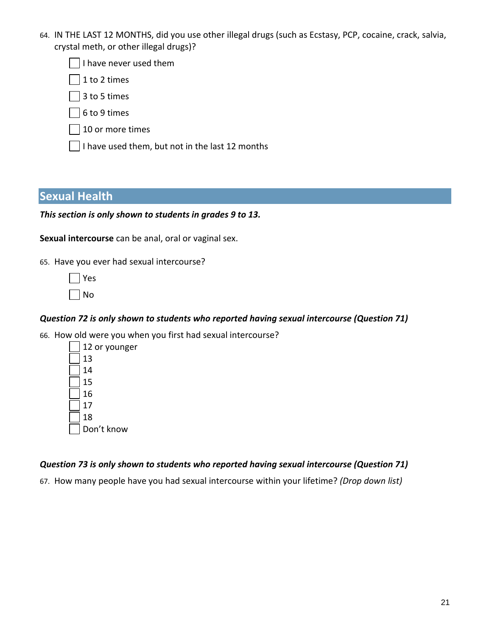64. IN THE LAST 12 MONTHS, did you use other illegal drugs (such as Ecstasy, PCP, cocaine, crack, salvia, crystal meth, or other illegal drugs)?

I have never used them

1 to 2 times

3 to 5 times

6 to 9 times

- 10 or more times
- $\lceil$  I have used them, but not in the last 12 months

### **Sexual Health**

*This section is only shown to students in grades 9 to 13.*

**Sexual intercourse** can be anal, oral or vaginal sex.

65. Have you ever had sexual intercourse?

Yes No

#### *Question 72 is only shown to students who reported having sexual intercourse (Question 71)*

66. How old were you when you first had sexual intercourse?

#### *Question 73 is only shown to students who reported having sexual intercourse (Question 71)*

67. How many people have you had sexual intercourse within your lifetime? *(Drop down list)*